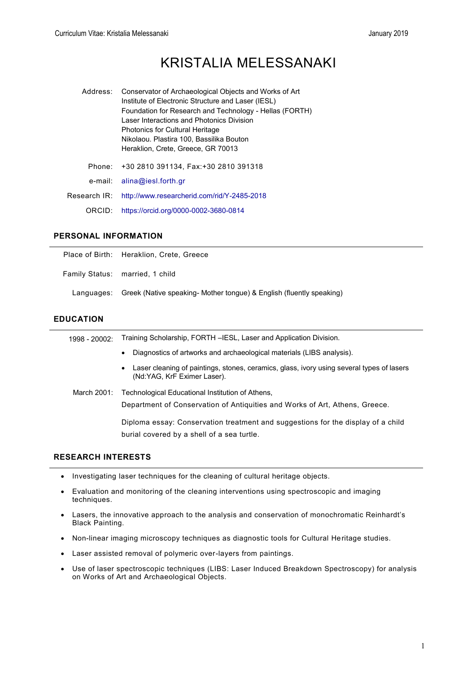# KRISTALIA MELESSANAKI

| Address:     | Conservator of Archaeological Objects and Works of Art<br>Institute of Electronic Structure and Laser (IESL)<br>Foundation for Research and Technology - Hellas (FORTH)<br>Laser Interactions and Photonics Division<br><b>Photonics for Cultural Heritage</b><br>Nikolaou. Plastira 100, Bassilika Bouton<br>Heraklion, Crete, Greece, GR 70013 |
|--------------|--------------------------------------------------------------------------------------------------------------------------------------------------------------------------------------------------------------------------------------------------------------------------------------------------------------------------------------------------|
| Phone:       | +30 2810 391134, Fax:+30 2810 391318                                                                                                                                                                                                                                                                                                             |
| e-mail:      | aling@iesl.forth.gr                                                                                                                                                                                                                                                                                                                              |
| Research IR: | http://www.researcherid.com/rid/Y-2485-2018                                                                                                                                                                                                                                                                                                      |
| ORCID:       | https://orcid.org/0000-0002-3680-0814                                                                                                                                                                                                                                                                                                            |

### **PERSONAL INFORMATION**

| Place of Birth: Heraklion, Crete, Greece                                        |
|---------------------------------------------------------------------------------|
| Family Status: married, 1 child                                                 |
| Languages: Greek (Native speaking- Mother tongue) & English (fluently speaking) |

### **EDUCATION**

| 1998 - 20002: | Training Scholarship, FORTH -IESL, Laser and Application Division.                                                                    |
|---------------|---------------------------------------------------------------------------------------------------------------------------------------|
|               | Diagnostics of artworks and archaeological materials (LIBS analysis).<br>$\bullet$                                                    |
|               | Laser cleaning of paintings, stones, ceramics, glass, ivory using several types of lasers<br>$\bullet$<br>(Nd:YAG, KrF Eximer Laser). |
| March 2001:   | Technological Educational Institution of Athens,<br>Department of Conservation of Antiquities and Works of Art, Athens, Greece.       |
|               | Diploma essay: Conservation treatment and suggestions for the display of a child<br>burial covered by a shell of a sea turtle.        |

# **RESEARCH INTERESTS**

- Investigating laser techniques for the cleaning of cultural heritage objects.
- Evaluation and monitoring of the cleaning interventions using spectroscopic and imaging techniques.
- Lasers, the innovative approach to the analysis and conservation of monochromatic Reinhardt's Black Painting.
- Non-linear imaging microscopy techniques as diagnostic tools for Cultural Heritage studies.
- Laser assisted removal of polymeric over-layers from paintings.
- Use of laser spectroscopic techniques (LIBS: Laser Induced Breakdown Spectroscopy) for analysis on Works of Art and Archaeological Objects.